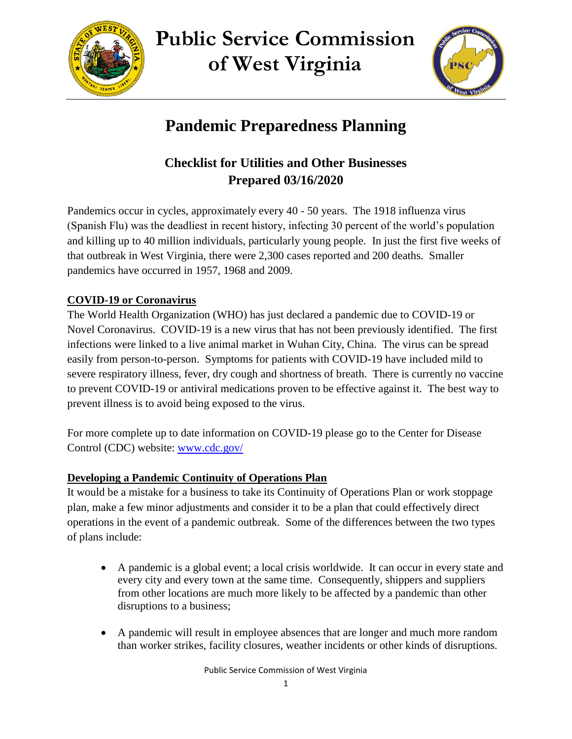

**Public Service Commission of West Virginia**



# **Pandemic Preparedness Planning**

# **Checklist for Utilities and Other Businesses Prepared 03/16/2020**

Pandemics occur in cycles, approximately every 40 - 50 years. The 1918 influenza virus (Spanish Flu) was the deadliest in recent history, infecting 30 percent of the world's population and killing up to 40 million individuals, particularly young people. In just the first five weeks of that outbreak in West Virginia, there were 2,300 cases reported and 200 deaths. Smaller pandemics have occurred in 1957, 1968 and 2009.

# **COVID-19 or Coronavirus**

The World Health Organization (WHO) has just declared a pandemic due to COVID-19 or Novel Coronavirus. COVID-19 is a new virus that has not been previously identified. The first infections were linked to a live animal market in Wuhan City, China. The virus can be spread easily from person-to-person. Symptoms for patients with COVID-19 have included mild to severe respiratory illness, fever, dry cough and shortness of breath. There is currently no vaccine to prevent COVID-19 or antiviral medications proven to be effective against it. The best way to prevent illness is to avoid being exposed to the virus.

For more complete up to date information on COVID-19 please go to the Center for Disease Control (CDC) website: [www.cdc.gov/](http://www.cdc.gov/)

# **Developing a Pandemic Continuity of Operations Plan**

It would be a mistake for a business to take its Continuity of Operations Plan or work stoppage plan, make a few minor adjustments and consider it to be a plan that could effectively direct operations in the event of a pandemic outbreak. Some of the differences between the two types of plans include:

- A pandemic is a global event; a local crisis worldwide. It can occur in every state and every city and every town at the same time. Consequently, shippers and suppliers from other locations are much more likely to be affected by a pandemic than other disruptions to a business;
- A pandemic will result in employee absences that are longer and much more random than worker strikes, facility closures, weather incidents or other kinds of disruptions.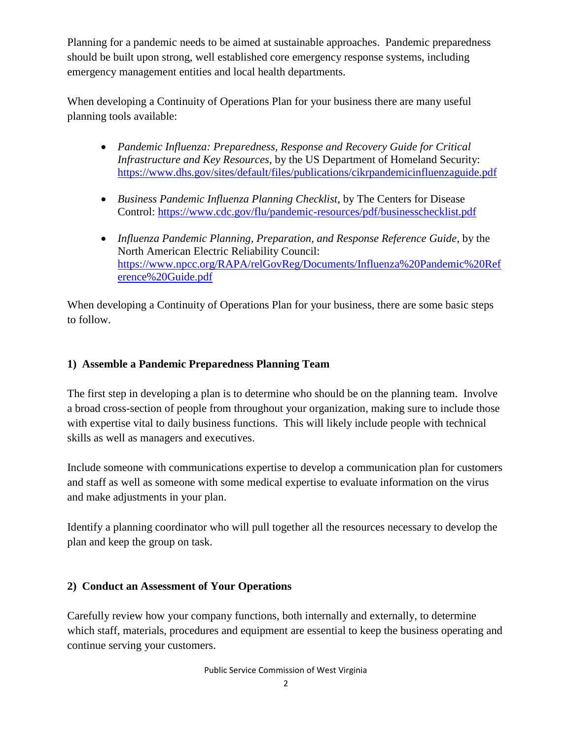Planning for a pandemic needs to be aimed at sustainable approaches. Pandemic preparedness should be built upon strong, well established core emergency response systems, including emergency management entities and local health departments.

When developing a Continuity of Operations Plan for your business there are many useful planning tools available:

- *Pandemic Influenza: Preparedness, Response and Recovery Guide for Critical Infrastructure and Key Resources*, by the US Department of Homeland Security: <https://www.dhs.gov/sites/default/files/publications/cikrpandemicinfluenzaguide.pdf>
- *Business Pandemic Influenza Planning Checklist*, by The Centers for Disease Control:<https://www.cdc.gov/flu/pandemic-resources/pdf/businesschecklist.pdf>
- *Influenza Pandemic Planning, Preparation, and Response Reference Guide*, by the North American Electric Reliability Council: [https://www.npcc.org/RAPA/relGovReg/Documents/Influenza%20Pandemic%20Ref](https://www.npcc.org/RAPA/relGovReg/Documents/Influenza%20Pandemic%20Reference%20Guide.pdf) [erence%20Guide.pdf](https://www.npcc.org/RAPA/relGovReg/Documents/Influenza%20Pandemic%20Reference%20Guide.pdf)

When developing a Continuity of Operations Plan for your business, there are some basic steps to follow.

#### **1) Assemble a Pandemic Preparedness Planning Team**

The first step in developing a plan is to determine who should be on the planning team. Involve a broad cross-section of people from throughout your organization, making sure to include those with expertise vital to daily business functions. This will likely include people with technical skills as well as managers and executives.

Include someone with communications expertise to develop a communication plan for customers and staff as well as someone with some medical expertise to evaluate information on the virus and make adjustments in your plan.

Identify a planning coordinator who will pull together all the resources necessary to develop the plan and keep the group on task.

#### **2) Conduct an Assessment of Your Operations**

Carefully review how your company functions, both internally and externally, to determine which staff, materials, procedures and equipment are essential to keep the business operating and continue serving your customers.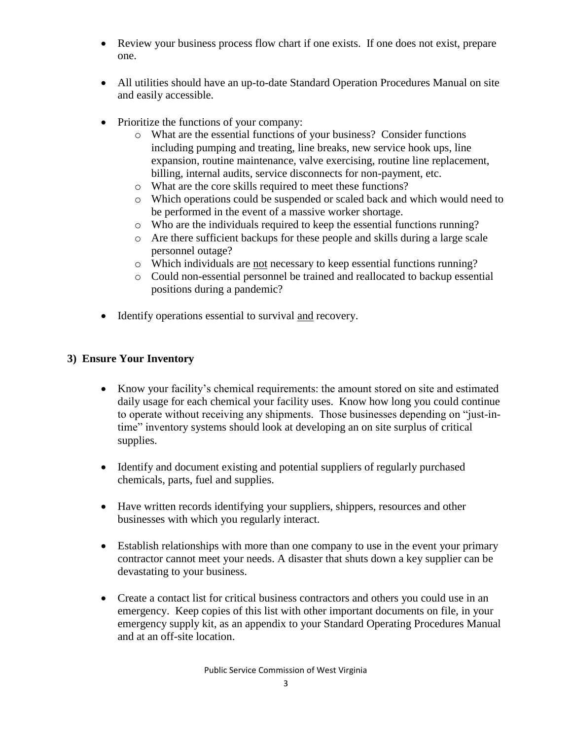- Review your business process flow chart if one exists. If one does not exist, prepare one.
- All utilities should have an up-to-date Standard Operation Procedures Manual on site and easily accessible.
- Prioritize the functions of your company:
	- o What are the essential functions of your business? Consider functions including pumping and treating, line breaks, new service hook ups, line expansion, routine maintenance, valve exercising, routine line replacement, billing, internal audits, service disconnects for non-payment, etc.
	- o What are the core skills required to meet these functions?
	- o Which operations could be suspended or scaled back and which would need to be performed in the event of a massive worker shortage.
	- o Who are the individuals required to keep the essential functions running?
	- o Are there sufficient backups for these people and skills during a large scale personnel outage?
	- o Which individuals are not necessary to keep essential functions running?
	- o Could non-essential personnel be trained and reallocated to backup essential positions during a pandemic?
- Identify operations essential to survival and recovery.

#### **3) Ensure Your Inventory**

- Know your facility's chemical requirements: the amount stored on site and estimated daily usage for each chemical your facility uses. Know how long you could continue to operate without receiving any shipments. Those businesses depending on "just-intime" inventory systems should look at developing an on site surplus of critical supplies.
- Identify and document existing and potential suppliers of regularly purchased chemicals, parts, fuel and supplies.
- Have written records identifying your suppliers, shippers, resources and other businesses with which you regularly interact.
- Establish relationships with more than one company to use in the event your primary contractor cannot meet your needs. A disaster that shuts down a key supplier can be devastating to your business.
- Create a contact list for critical business contractors and others you could use in an emergency. Keep copies of this list with other important documents on file, in your emergency supply kit, as an appendix to your Standard Operating Procedures Manual and at an off-site location.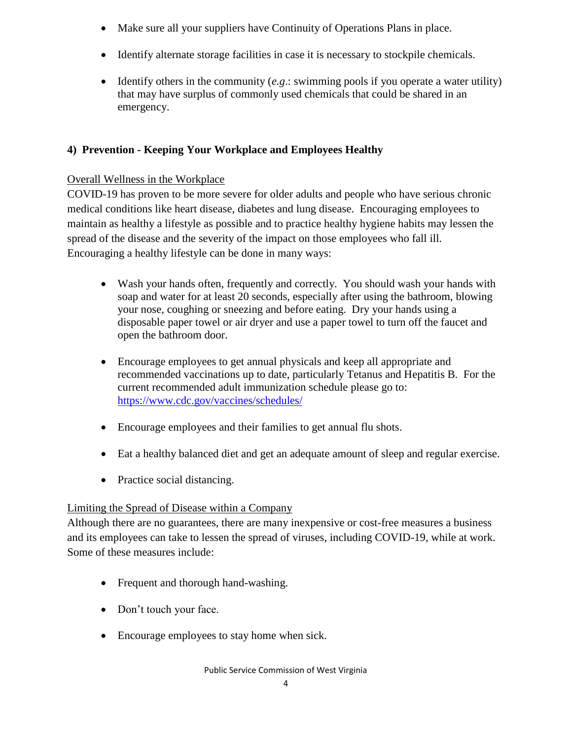- Make sure all your suppliers have Continuity of Operations Plans in place.
- Identify alternate storage facilities in case it is necessary to stockpile chemicals.
- Identify others in the community (*e.g*.: swimming pools if you operate a water utility) that may have surplus of commonly used chemicals that could be shared in an emergency.

# **4) Prevention - Keeping Your Workplace and Employees Healthy**

## Overall Wellness in the Workplace

COVID-19 has proven to be more severe for older adults and people who have serious chronic medical conditions like heart disease, diabetes and lung disease. Encouraging employees to maintain as healthy a lifestyle as possible and to practice healthy hygiene habits may lessen the spread of the disease and the severity of the impact on those employees who fall ill. Encouraging a healthy lifestyle can be done in many ways:

- Wash your hands often, frequently and correctly. You should wash your hands with soap and water for at least 20 seconds, especially after using the bathroom, blowing your nose, coughing or sneezing and before eating. Dry your hands using a disposable paper towel or air dryer and use a paper towel to turn off the faucet and open the bathroom door.
- Encourage employees to get annual physicals and keep all appropriate and recommended vaccinations up to date, particularly Tetanus and Hepatitis B. For the current recommended adult immunization schedule please go to: <https://www.cdc.gov/vaccines/schedules/>
- Encourage employees and their families to get annual flu shots.
- Eat a healthy balanced diet and get an adequate amount of sleep and regular exercise.
- Practice social distancing.

# Limiting the Spread of Disease within a Company

Although there are no guarantees, there are many inexpensive or cost-free measures a business and its employees can take to lessen the spread of viruses, including COVID-19, while at work. Some of these measures include:

- Frequent and thorough hand-washing.
- Don't touch your face.
- Encourage employees to stay home when sick.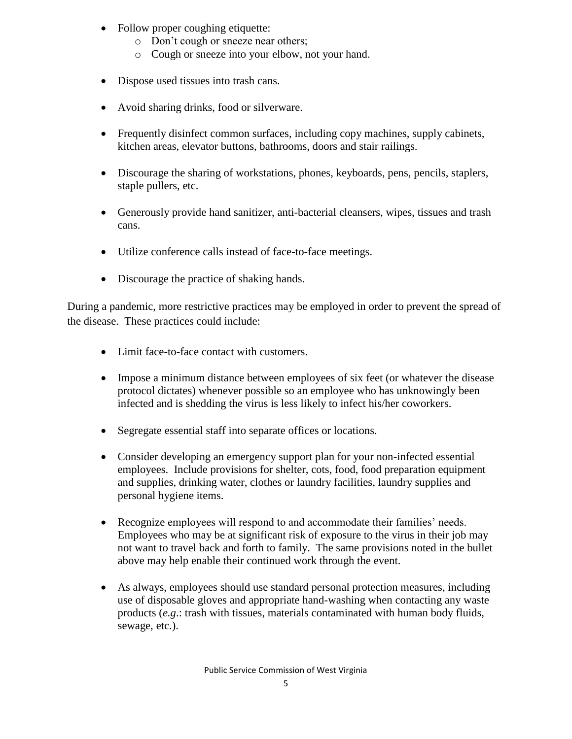- Follow proper coughing etiquette:
	- o Don't cough or sneeze near others;
	- o Cough or sneeze into your elbow, not your hand.
- Dispose used tissues into trash cans.
- Avoid sharing drinks, food or silverware.
- Frequently disinfect common surfaces, including copy machines, supply cabinets, kitchen areas, elevator buttons, bathrooms, doors and stair railings.
- Discourage the sharing of workstations, phones, keyboards, pens, pencils, staplers, staple pullers, etc.
- Generously provide hand sanitizer, anti-bacterial cleansers, wipes, tissues and trash cans.
- Utilize conference calls instead of face-to-face meetings.
- Discourage the practice of shaking hands.

During a pandemic, more restrictive practices may be employed in order to prevent the spread of the disease. These practices could include:

- Limit face-to-face contact with customers.
- Impose a minimum distance between employees of six feet (or whatever the disease protocol dictates) whenever possible so an employee who has unknowingly been infected and is shedding the virus is less likely to infect his/her coworkers.
- Segregate essential staff into separate offices or locations.
- Consider developing an emergency support plan for your non-infected essential employees. Include provisions for shelter, cots, food, food preparation equipment and supplies, drinking water, clothes or laundry facilities, laundry supplies and personal hygiene items.
- Recognize employees will respond to and accommodate their families' needs. Employees who may be at significant risk of exposure to the virus in their job may not want to travel back and forth to family. The same provisions noted in the bullet above may help enable their continued work through the event.
- As always, employees should use standard personal protection measures, including use of disposable gloves and appropriate hand-washing when contacting any waste products (*e.g*.: trash with tissues, materials contaminated with human body fluids, sewage, etc.).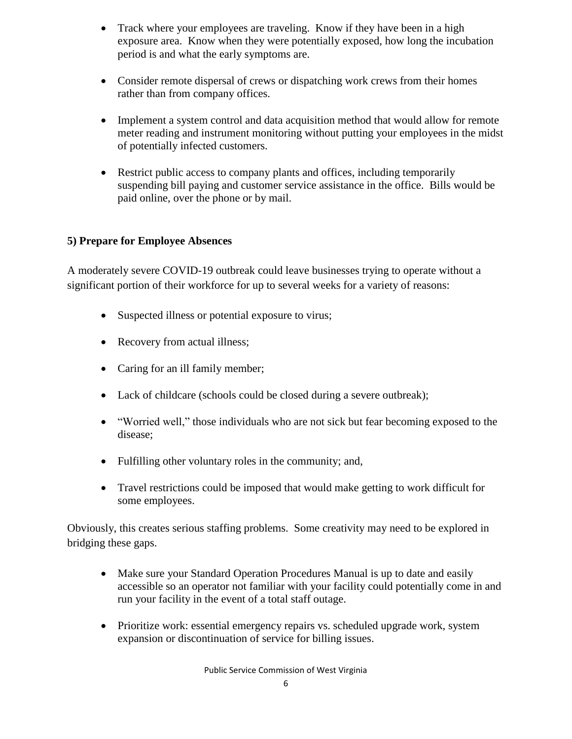- Track where your employees are traveling. Know if they have been in a high exposure area. Know when they were potentially exposed, how long the incubation period is and what the early symptoms are.
- Consider remote dispersal of crews or dispatching work crews from their homes rather than from company offices.
- Implement a system control and data acquisition method that would allow for remote meter reading and instrument monitoring without putting your employees in the midst of potentially infected customers.
- Restrict public access to company plants and offices, including temporarily suspending bill paying and customer service assistance in the office. Bills would be paid online, over the phone or by mail.

#### **5) Prepare for Employee Absences**

A moderately severe COVID-19 outbreak could leave businesses trying to operate without a significant portion of their workforce for up to several weeks for a variety of reasons:

- Suspected illness or potential exposure to virus;
- Recovery from actual illness;
- Caring for an ill family member;
- Lack of childcare (schools could be closed during a severe outbreak);
- "Worried well," those individuals who are not sick but fear becoming exposed to the disease;
- Fulfilling other voluntary roles in the community; and,
- Travel restrictions could be imposed that would make getting to work difficult for some employees.

Obviously, this creates serious staffing problems. Some creativity may need to be explored in bridging these gaps.

- Make sure your Standard Operation Procedures Manual is up to date and easily accessible so an operator not familiar with your facility could potentially come in and run your facility in the event of a total staff outage.
- Prioritize work: essential emergency repairs vs. scheduled upgrade work, system expansion or discontinuation of service for billing issues.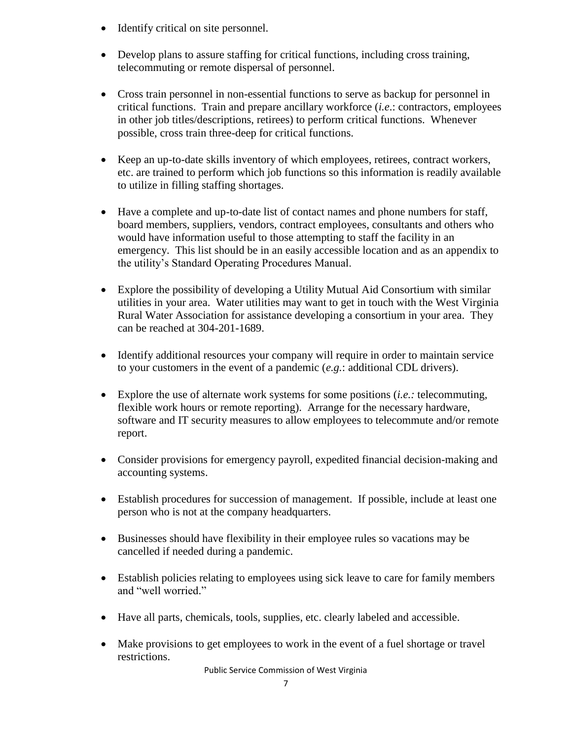- Identify critical on site personnel.
- Develop plans to assure staffing for critical functions, including cross training, telecommuting or remote dispersal of personnel.
- Cross train personnel in non-essential functions to serve as backup for personnel in critical functions. Train and prepare ancillary workforce (*i.e*.: contractors, employees in other job titles/descriptions, retirees) to perform critical functions. Whenever possible, cross train three-deep for critical functions.
- Keep an up-to-date skills inventory of which employees, retirees, contract workers, etc. are trained to perform which job functions so this information is readily available to utilize in filling staffing shortages.
- Have a complete and up-to-date list of contact names and phone numbers for staff, board members, suppliers, vendors, contract employees, consultants and others who would have information useful to those attempting to staff the facility in an emergency. This list should be in an easily accessible location and as an appendix to the utility's Standard Operating Procedures Manual.
- Explore the possibility of developing a Utility Mutual Aid Consortium with similar utilities in your area. Water utilities may want to get in touch with the West Virginia Rural Water Association for assistance developing a consortium in your area. They can be reached at 304-201-1689.
- Identify additional resources your company will require in order to maintain service to your customers in the event of a pandemic (*e.g.*: additional CDL drivers).
- Explore the use of alternate work systems for some positions (*i.e.:* telecommuting, flexible work hours or remote reporting). Arrange for the necessary hardware, software and IT security measures to allow employees to telecommute and/or remote report.
- Consider provisions for emergency payroll, expedited financial decision-making and accounting systems.
- Establish procedures for succession of management. If possible, include at least one person who is not at the company headquarters.
- Businesses should have flexibility in their employee rules so vacations may be cancelled if needed during a pandemic.
- Establish policies relating to employees using sick leave to care for family members and "well worried."
- Have all parts, chemicals, tools, supplies, etc. clearly labeled and accessible.
- Make provisions to get employees to work in the event of a fuel shortage or travel restrictions.

Public Service Commission of West Virginia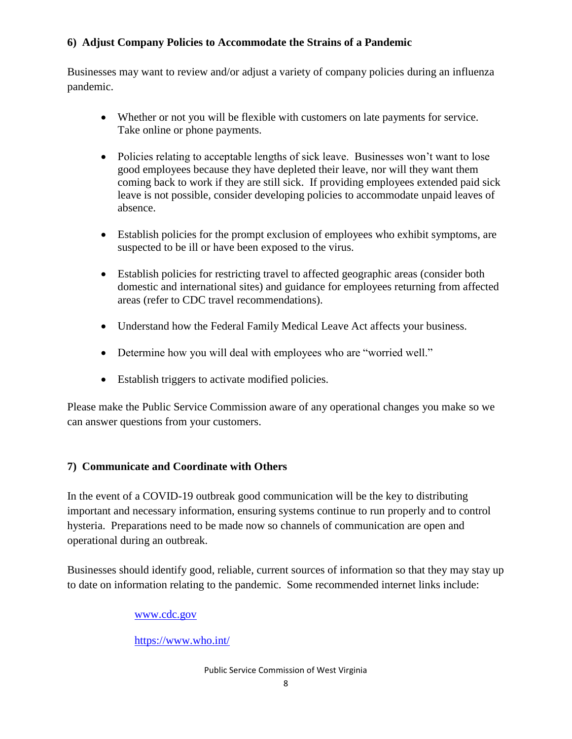#### **6) Adjust Company Policies to Accommodate the Strains of a Pandemic**

Businesses may want to review and/or adjust a variety of company policies during an influenza pandemic.

- Whether or not you will be flexible with customers on late payments for service. Take online or phone payments.
- Policies relating to acceptable lengths of sick leave. Businesses won't want to lose good employees because they have depleted their leave, nor will they want them coming back to work if they are still sick. If providing employees extended paid sick leave is not possible, consider developing policies to accommodate unpaid leaves of absence.
- Establish policies for the prompt exclusion of employees who exhibit symptoms, are suspected to be ill or have been exposed to the virus.
- Establish policies for restricting travel to affected geographic areas (consider both domestic and international sites) and guidance for employees returning from affected areas (refer to CDC travel recommendations).
- Understand how the Federal Family Medical Leave Act affects your business.
- Determine how you will deal with employees who are "worried well."
- Establish triggers to activate modified policies.

Please make the Public Service Commission aware of any operational changes you make so we can answer questions from your customers.

### **7) Communicate and Coordinate with Others**

In the event of a COVID-19 outbreak good communication will be the key to distributing important and necessary information, ensuring systems continue to run properly and to control hysteria. Preparations need to be made now so channels of communication are open and operational during an outbreak.

Businesses should identify good, reliable, current sources of information so that they may stay up to date on information relating to the pandemic. Some recommended internet links include:

#### [www.cdc.gov](http://www.cdc.gov/)

<https://www.who.int/>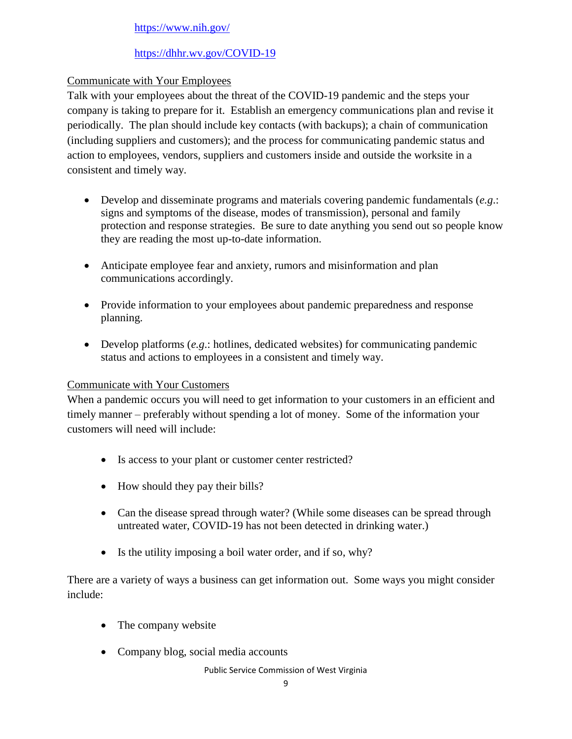#### <https://www.nih.gov/>

#### <https://dhhr.wv.gov/COVID-19>

#### Communicate with Your Employees

Talk with your employees about the threat of the COVID-19 pandemic and the steps your company is taking to prepare for it. Establish an emergency communications plan and revise it periodically. The plan should include key contacts (with backups); a chain of communication (including suppliers and customers); and the process for communicating pandemic status and action to employees, vendors, suppliers and customers inside and outside the worksite in a consistent and timely way.

- Develop and disseminate programs and materials covering pandemic fundamentals (*e.g*.: signs and symptoms of the disease, modes of transmission), personal and family protection and response strategies. Be sure to date anything you send out so people know they are reading the most up-to-date information.
- Anticipate employee fear and anxiety, rumors and misinformation and plan communications accordingly.
- Provide information to your employees about pandemic preparedness and response planning.
- Develop platforms (*e.g*.: hotlines, dedicated websites) for communicating pandemic status and actions to employees in a consistent and timely way.

#### Communicate with Your Customers

When a pandemic occurs you will need to get information to your customers in an efficient and timely manner – preferably without spending a lot of money. Some of the information your customers will need will include:

- Is access to your plant or customer center restricted?
- How should they pay their bills?
- Can the disease spread through water? (While some diseases can be spread through untreated water, COVID-19 has not been detected in drinking water.)
- Is the utility imposing a boil water order, and if so, why?

There are a variety of ways a business can get information out. Some ways you might consider include:

- The company website
- Company blog, social media accounts

Public Service Commission of West Virginia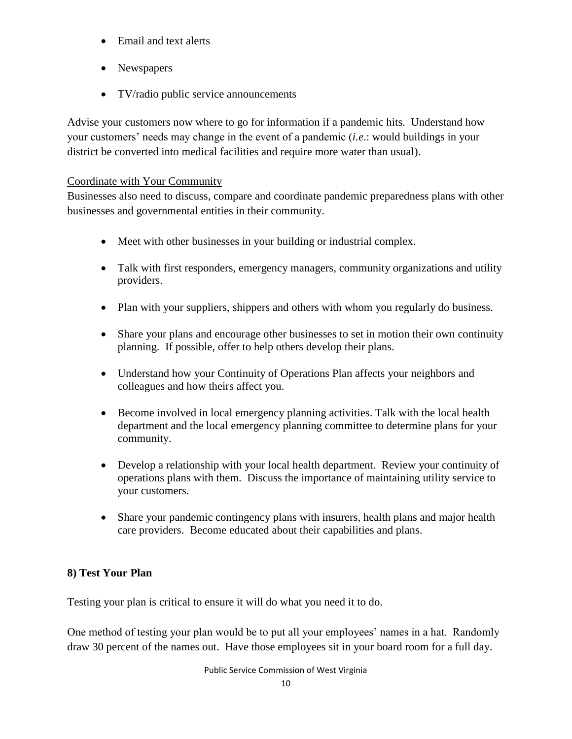- Email and text alerts
- Newspapers
- TV/radio public service announcements

Advise your customers now where to go for information if a pandemic hits. Understand how your customers' needs may change in the event of a pandemic (*i.e*.: would buildings in your district be converted into medical facilities and require more water than usual).

#### Coordinate with Your Community

Businesses also need to discuss, compare and coordinate pandemic preparedness plans with other businesses and governmental entities in their community.

- Meet with other businesses in your building or industrial complex.
- Talk with first responders, emergency managers, community organizations and utility providers.
- Plan with your suppliers, shippers and others with whom you regularly do business.
- Share your plans and encourage other businesses to set in motion their own continuity planning. If possible, offer to help others develop their plans.
- Understand how your Continuity of Operations Plan affects your neighbors and colleagues and how theirs affect you.
- Become involved in local emergency planning activities. Talk with the local health department and the local emergency planning committee to determine plans for your community.
- Develop a relationship with your local health department. Review your continuity of operations plans with them. Discuss the importance of maintaining utility service to your customers.
- Share your pandemic contingency plans with insurers, health plans and major health care providers. Become educated about their capabilities and plans.

#### **8) Test Your Plan**

Testing your plan is critical to ensure it will do what you need it to do.

One method of testing your plan would be to put all your employees' names in a hat. Randomly draw 30 percent of the names out. Have those employees sit in your board room for a full day.

Public Service Commission of West Virginia